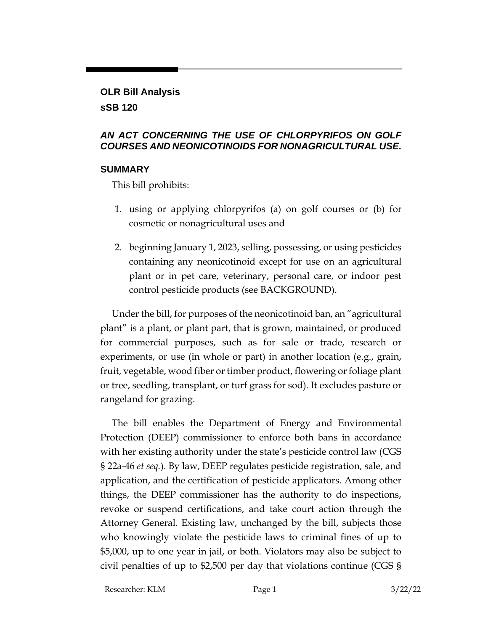### **OLR Bill Analysis**

## **sSB 120**

### *AN ACT CONCERNING THE USE OF CHLORPYRIFOS ON GOLF COURSES AND NEONICOTINOIDS FOR NONAGRICULTURAL USE.*

## **SUMMARY**

This bill prohibits:

- 1. using or applying chlorpyrifos (a) on golf courses or (b) for cosmetic or nonagricultural uses and
- 2. beginning January 1, 2023, selling, possessing, or using pesticides containing any neonicotinoid except for use on an agricultural plant or in pet care, veterinary, personal care, or indoor pest control pesticide products (see BACKGROUND).

Under the bill, for purposes of the neonicotinoid ban, an "agricultural plant" is a plant, or plant part, that is grown, maintained, or produced for commercial purposes, such as for sale or trade, research or experiments, or use (in whole or part) in another location (e.g., grain, fruit, vegetable, wood fiber or timber product, flowering or foliage plant or tree, seedling, transplant, or turf grass for sod). It excludes pasture or rangeland for grazing.

The bill enables the Department of Energy and Environmental Protection (DEEP) commissioner to enforce both bans in accordance with her existing authority under the state's pesticide control law (CGS § 22a-46 *et seq.*). By law, DEEP regulates pesticide registration, sale, and application, and the certification of pesticide applicators. Among other things, the DEEP commissioner has the authority to do inspections, revoke or suspend certifications, and take court action through the Attorney General. Existing law, unchanged by the bill, subjects those who knowingly violate the pesticide laws to criminal fines of up to \$5,000, up to one year in jail, or both. Violators may also be subject to civil penalties of up to \$2,500 per day that violations continue (CGS §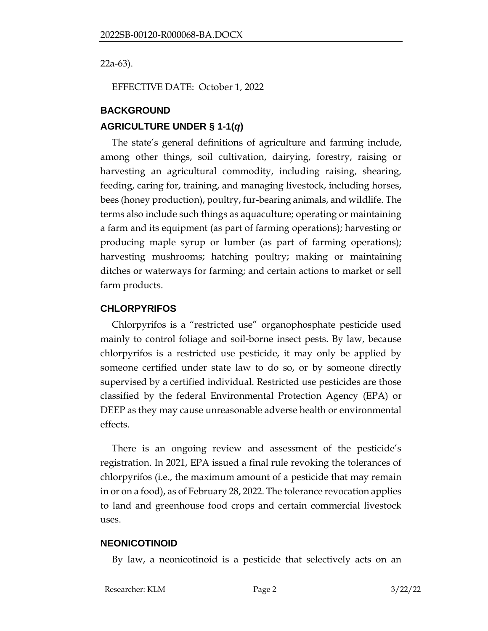22a-63).

EFFECTIVE DATE: October 1, 2022

#### **BACKGROUND**

# **AGRICULTURE UNDER § 1-1(***q***)**

The state's general definitions of agriculture and farming include, among other things, soil cultivation, dairying, forestry, raising or harvesting an agricultural commodity, including raising, shearing, feeding, caring for, training, and managing livestock, including horses, bees (honey production), poultry, fur-bearing animals, and wildlife. The terms also include such things as aquaculture; operating or maintaining a farm and its equipment (as part of farming operations); harvesting or producing maple syrup or lumber (as part of farming operations); harvesting mushrooms; hatching poultry; making or maintaining ditches or waterways for farming; and certain actions to market or sell farm products.

## **CHLORPYRIFOS**

Chlorpyrifos is a "restricted use" organophosphate pesticide used mainly to control foliage and soil-borne insect pests. By law, because chlorpyrifos is a restricted use pesticide, it may only be applied by someone certified under state law to do so, or by someone directly supervised by a certified individual. Restricted use pesticides are those classified by the federal Environmental Protection Agency (EPA) or DEEP as they may cause unreasonable adverse health or environmental effects.

There is an ongoing review and assessment of the pesticide's registration. In 2021, EPA issued a final rule revoking the tolerances of chlorpyrifos (i.e., the maximum amount of a pesticide that may remain in or on a food), as of February 28, 2022. The tolerance revocation applies to land and greenhouse food crops and certain commercial livestock uses.

#### **NEONICOTINOID**

By law, a neonicotinoid is a pesticide that selectively acts on an